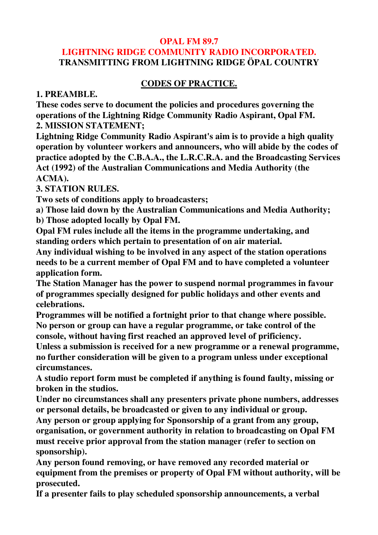#### **OPAL FM 89.7**

# **LIGHTNING RIDGE COMMUNITY RADIO INCORPORATED. TRANSMITTING FROM LIGHTNING RIDGE ÖPAL COUNTRY**

#### **CODES OF PRACTICE.**

**1. PREAMBLE.**

**These codes serve to document the policies and procedures governing the operations of the Lightning Ridge Community Radio Aspirant, Opal FM. 2. MISSION STATEMENT;**

**Lightning Ridge Community Radio Aspirant's aim is to provide a high quality operation by volunteer workers and announcers, who will abide by the codes of practice adopted by the C.B.A.A., the L.R.C.R.A. and the Broadcasting Services Act (1992) of the Australian Communications and Media Authority (the ACMA).**

**3. STATION RULES.**

**Two sets of conditions apply to broadcasters;**

**a) Those laid down by the Australian Communications and Media Authority; b) Those adopted locally by Opal FM.**

**Opal FM rules include all the items in the programme undertaking, and standing orders which pertain to presentation of on air material.**

**Any individual wishing to be involved in any aspect of the station operations needs to be a current member of Opal FM and to have completed a volunteer application form.**

**The Station Manager has the power to suspend normal programmes in favour of programmes specially designed for public holidays and other events and celebrations.**

**Programmes will be notified a fortnight prior to that change where possible. No person or group can have a regular programme, or take control of the console, without having first reached an approved level of prificiency.**

**Unless a submission is received for a new programme or a renewal programme, no further consideration will be given to a program unless under exceptional circumstances.**

**A studio report form must be completed if anything is found faulty, missing or broken in the studios.**

**Under no circumstances shall any presenters private phone numbers, addresses or personal details, be broadcasted or given to any individual or group.**

**Any person or group applying for Sponsorship of a grant from any group, organisation, or government authority in relation to broadcasting on Opal FM must receive prior approval from the station manager (refer to section on sponsorship).**

**Any person found removing, or have removed any recorded material or equipment from the premises or property of Opal FM without authority, will be prosecuted.**

**If a presenter fails to play scheduled sponsorship announcements, a verbal**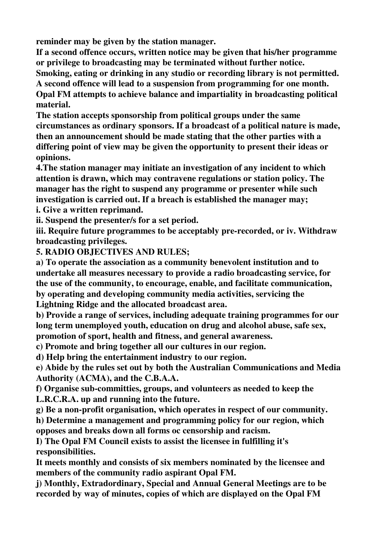**reminder may be given by the station manager.**

**If a second offence occurs, written notice may be given that his/her programme or privilege to broadcasting may be terminated without further notice.**

**Smoking, eating or drinking in any studio or recording library is not permitted. A second offence will lead to a suspension from programming for one month.**

**Opal FM attempts to achieve balance and impartiality in broadcasting political material.**

**The station accepts sponsorship from political groups under the same circumstances as ordinary sponsors. If a broadcast of a political nature is made, then an announcement should be made stating that the other parties with a differing point of view may be given the opportunity to present their ideas or opinions.**

**4.The station manager may initiate an investigation of any incident to which attention is drawn, which may contravene regulations or station policy. The manager has the right to suspend any programme or presenter while such investigation is carried out. If a breach is established the manager may; i. Give a written reprimand.**

**ii. Suspend the presenter/s for a set period.**

**iii. Require future programmes to be acceptably pre-recorded, or iv. Withdraw broadcasting privileges.**

**5. RADIO OBJECTIVES AND RULES;**

**a) To operate the association as a community benevolent institution and to undertake all measures necessary to provide a radio broadcasting service, for the use of the community, to encourage, enable, and facilitate communication, by operating and developing community media activities, servicing the Lightning Ridge and the allocated broadcast area.**

**b) Provide a range of services, including adequate training programmes for our long term unemployed youth, education on drug and alcohol abuse, safe sex, promotion of sport, health and fitness, and general awareness.**

**c) Promote and bring together all our cultures in our region.**

**d) Help bring the entertainment industry to our region.**

**e) Abide by the rules set out by both the Australian Communications and Media Authority (ACMA), and the C.B.A.A.**

**f) Organise sub-committies, groups, and volunteers as needed to keep the L.R.C.R.A. up and running into the future.**

**g) Be a non-profit organisation, which operates in respect of our community.**

**h) Determine a management and programming policy for our region, which opposes and breaks down all forms oc censorship and racism.**

**I) The Opal FM Council exists to assist the licensee in fulfilling it's responsibilities.**

**It meets monthly and consists of six members nominated by the licensee and members of the community radio aspirant Opal FM.**

**j) Monthly, Extradordinary, Special and Annual General Meetings are to be recorded by way of minutes, copies of which are displayed on the Opal FM**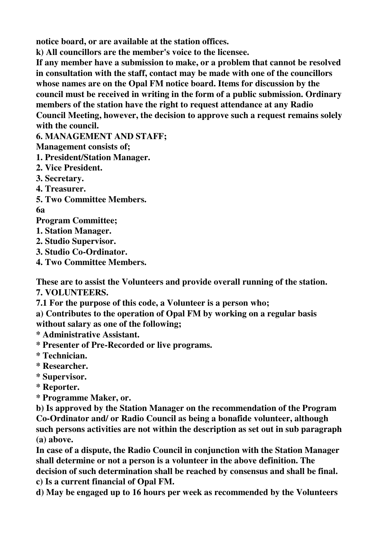**notice board, or are available at the station offices.**

**k) All councillors are the member's voice to the licensee.**

**If any member have a submission to make, or a problem that cannot be resolved in consultation with the staff, contact may be made with one of the councillors whose names are on the Opal FM notice board. Items for discussion by the council must be received in writing in the form of a public submission. Ordinary members of the station have the right to request attendance at any Radio Council Meeting, however, the decision to approve such a request remains solely with the council.**

**6. MANAGEMENT AND STAFF;**

**Management consists of;**

- **1. President/Station Manager.**
- **2. Vice President.**
- **3. Secretary.**
- **4. Treasurer.**
- **5. Two Committee Members.**

#### **6a**

- **Program Committee;**
- **1. Station Manager.**
- **2. Studio Supervisor.**
- **3. Studio Co-Ordinator.**
- **4. Two Committee Members.**

**These are to assist the Volunteers and provide overall running of the station. 7. VOLUNTEERS.**

- **7.1 For the purpose of this code, a Volunteer is a person who;**
- **a) Contributes to the operation of Opal FM by working on a regular basis without salary as one of the following;**
- **\* Administrative Assistant.**
- **\* Presenter of Pre-Recorded or live programs.**
- **\* Technician.**
- **\* Researcher.**
- **\* Supervisor.**
- **\* Reporter.**
- **\* Programme Maker, or.**

**b) Is approved by the Station Manager on the recommendation of the Program Co-Ordinator and/ or Radio Council as being a bonafide volunteer, although such persons activities are not within the description as set out in sub paragraph (a) above.**

**In case of a dispute, the Radio Council in conjunction with the Station Manager shall determine or not a person is a volunteer in the above definition. The decision of such determination shall be reached by consensus and shall be final. c) Is a current financial of Opal FM.**

**d) May be engaged up to 16 hours per week as recommended by the Volunteers**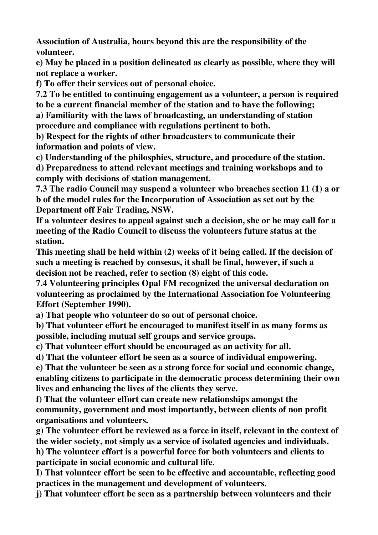**Association of Australia, hours beyond this are the responsibility of the volunteer.**

**e) May be placed in a position delineated as clearly as possible, where they will not replace a worker.**

**f) To offer their services out of personal choice.**

**7.2 To be entitled to continuing engagement as a volunteer, a person is required to be a current financial member of the station and to have the following;**

**a) Familiarity with the laws of broadcasting, an understanding of station procedure and compliance with regulations pertinent to both.**

**b) Respect for the rights of other broadcasters to communicate their information and points of view.**

**c) Understanding of the philosphies, structure, and procedure of the station.**

**d) Preparedness to attend relevant meetings and training workshops and to comply with decisions of station management.**

**7.3 The radio Council may suspend a volunteer who breaches section 11 (1) a or b of the model rules for the Incorporation of Association as set out by the Department off Fair Trading, NSW.**

**If a volunteer desires to appeal against such a decision, she or he may call for a meeting of the Radio Council to discuss the volunteers future status at the station.**

**This meeting shall be held within (2) weeks of it being called. If the decision of such a meeting is reached by consesus, it shall be final, however, if such a decision not be reached, refer to section (8) eight of this code.**

**7.4 Volunteering principles Opal FM recognized the universal declaration on volunteering as proclaimed by the International Association foe Volunteering Effort (September 1990).**

**a) That people who volunteer do so out of personal choice.**

**b) That volunteer effort be encouraged to manifest itself in as many forms as possible, including mutual self groups and service groups.**

**c) That volunteer effort should be encouraged as an activity for all.**

**d) That the volunteer effort be seen as a source of individual empowering.**

**e) That the volunteer be seen as a strong force for social and economic change, enabling citizens to participate in the democratic process determining their own lives and enhancing the lives of the clients they serve.**

**f) That the volunteer effort can create new relationships amongst the community, government and most importantly, between clients of non profit organisations and volunteers.**

**g) The volunteer effort be reviewed as a force in itself, relevant in the context of the wider society, not simply as a service of isolated agencies and individuals.**

**h) The volunteer effort is a powerful force for both volunteers and clients to participate in social economic and cultural life.**

**I) That volunteer effort be seen to be effective and accountable, reflecting good practices in the management and development of volunteers.**

**j) That volunteer effort be seen as a partnership between volunteers and their**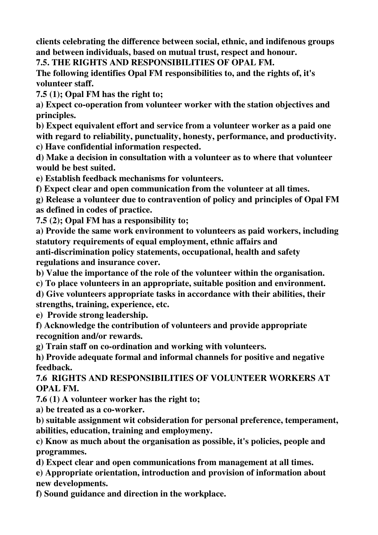**clients celebrating the difference between social, ethnic, and indifenous groups and between individuals, based on mutual trust, respect and honour.**

**7.5. THE RIGHTS AND RESPONSIBILITIES OF OPAL FM.**

**The following identifies Opal FM responsibilities to, and the rights of, it's volunteer staff.**

**7.5 (1); Opal FM has the right to;**

**a) Expect co-operation from volunteer worker with the station objectives and principles.**

**b) Expect equivalent effort and service from a volunteer worker as a paid one with regard to reliability, punctuality, honesty, performance, and productivity. c) Have confidential information respected.**

**d) Make a decision in consultation with a volunteer as to where that volunteer would be best suited.**

**e) Establish feedback mechanisms for volunteers.**

**f) Expect clear and open communication from the volunteer at all times.**

**g) Release a volunteer due to contravention of policy and principles of Opal FM as defined in codes of practice.**

**7.5 (2); Opal FM has a responsibility to;**

**a) Provide the same work environment to volunteers as paid workers, including statutory requirements of equal employment, ethnic affairs and anti-discrimination policy statements, occupational, health and safety regulations and insurance cover.**

**b) Value the importance of the role of the volunteer within the organisation.**

**c) To place volunteers in an appropriate, suitable position and environment.**

**d) Give volunteers appropriate tasks in accordance with their abilities, their strengths, training, experience, etc.**

**e) Provide strong leadership.**

**f) Acknowledge the contribution of volunteers and provide appropriate recognition and/or rewards.**

**g) Train staff on co-ordination and working with volunteers.**

**h) Provide adequate formal and informal channels for positive and negative feedback.**

**7.6 RIGHTS AND RESPONSIBILITIES OF VOLUNTEER WORKERS AT OPAL FM.**

**7.6 (1) A volunteer worker has the right to;**

**a) be treated as a co-worker.**

**b) suitable assignment wit cobsideration for personal preference, temperament, abilities, education, training and employmeny.**

**c) Know as much about the organisation as possible, it's policies, people and programmes.**

**d) Expect clear and open communications from management at all times.**

**e) Appropriate orientation, introduction and provision of information about new developments.**

**f) Sound guidance and direction in the workplace.**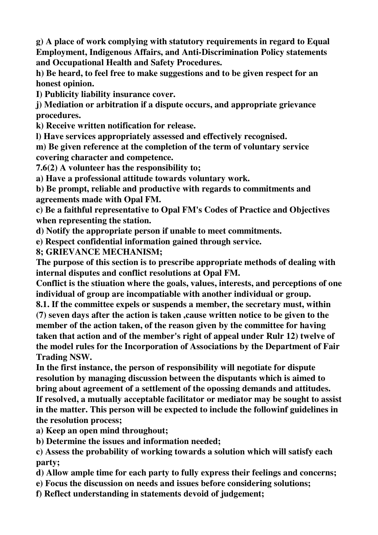**g) A place of work complying with statutory requirements in regard to Equal Employment, Indigenous Affairs, and Anti-Discrimination Policy statements and Occupational Health and Safety Procedures.**

**h) Be heard, to feel free to make suggestions and to be given respect for an honest opinion.**

**I) Publicity liability insurance cover.**

**j) Mediation or arbitration if a dispute occurs, and appropriate grievance procedures.**

**k) Receive written notification for release.**

**l) Have services appropriately assessed and effectively recognised.**

**m) Be given reference at the completion of the term of voluntary service covering character and competence.**

**7.6(2) A volunteer has the responsibility to;**

**a) Have a professional attitude towards voluntary work.**

**b) Be prompt, reliable and productive with regards to commitments and agreements made with Opal FM.**

**c) Be a faithful representative to Opal FM's Codes of Practice and Objectives when representing the station.**

**d) Notify the appropriate person if unable to meet commitments.**

**e) Respect confidential information gained through service.**

**8; GRIEVANCE MECHANISM;**

**The purpose of this section is to prescribe appropriate methods of dealing with internal disputes and conflict resolutions at Opal FM.**

**Conflict is the stiuation where the goals, values, interests, and perceptions of one individual of group are incompatiable with another individual or group.**

**8.1. If the committee expels or suspends a member, the secretary must, within (7) seven days after the action is taken ,cause written notice to be given to the member of the action taken, of the reason given by the committee for having taken that action and of the member's right of appeal under Rulr 12) twelve of the model rules for the Incorporation of Associations by the Department of Fair Trading NSW.**

**In the first instance, the person of responsibility will negotiate for dispute resolution by managing discussion between the disputants which is aimed to bring about agreement of a settlement of the opossing demands and attitudes. If resolved, a mutually acceptable facilitator or mediator may be sought to assist in the matter. This person will be expected to include the followinf guidelines in the resolution process;**

**a) Keep an open mind throughout;**

**b) Determine the issues and information needed;**

**c) Assess the probability of working towards a solution which will satisfy each party;**

**d) Allow ample time for each party to fully express their feelings and concerns;**

**e) Focus the discussion on needs and issues before considering solutions;**

**f) Reflect understanding in statements devoid of judgement;**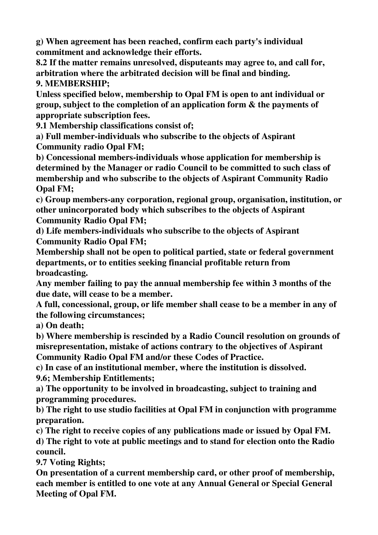**g) When agreement has been reached, confirm each party's individual commitment and acknowledge their efforts.**

**8.2 If the matter remains unresolved, disputeants may agree to, and call for, arbitration where the arbitrated decision will be final and binding.**

**9. MEMBERSHIP;**

**Unless specified below, membership to Opal FM is open to ant individual or group, subject to the completion of an application form & the payments of appropriate subscription fees.**

**9.1 Membership classifications consist of;**

**a) Full member-individuals who subscribe to the objects of Aspirant Community radio Opal FM;**

**b) Concessional members-individuals whose application for membership is determined by the Manager or radio Council to be committed to such class of membership and who subscribe to the objects of Aspirant Community Radio Opal FM;**

**c) Group members-any corporation, regional group, organisation, institution, or other unincorporated body which subscribes to the objects of Aspirant Community Radio Opal FM;**

**d) Life members-individuals who subscribe to the objects of Aspirant Community Radio Opal FM;**

**Membership shall not be open to political partied, state or federal government departments, or to entities seeking financial profitable return from broadcasting.**

**Any member failing to pay the annual membership fee within 3 months of the due date, will cease to be a member.**

**A full, concessional, group, or life member shall cease to be a member in any of the following circumstances;**

**a) On death;**

**b) Where membership is rescinded by a Radio Council resolution on grounds of misrepresentation, mistake of actions contrary to the objectives of Aspirant Community Radio Opal FM and/or these Codes of Practice.**

**c) In case of an institutional member, where the institution is dissolved.**

**9.6; Membership Entitlements;**

**a) The opportunity to be involved in broadcasting, subject to training and programming procedures.**

**b) The right to use studio facilities at Opal FM in conjunction with programme preparation.**

**c) The right to receive copies of any publications made or issued by Opal FM.**

**d) The right to vote at public meetings and to stand for election onto the Radio council.**

**9.7 Voting Rights;**

**On presentation of a current membership card, or other proof of membership, each member is entitled to one vote at any Annual General or Special General Meeting of Opal FM.**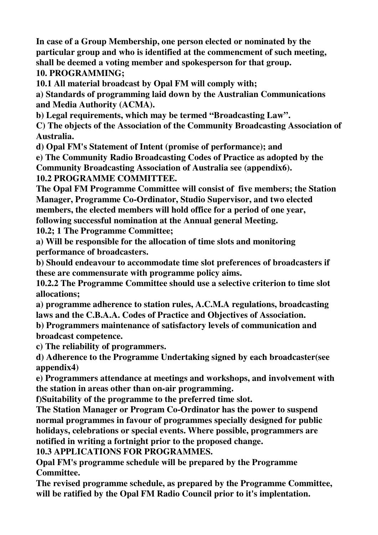**In case of a Group Membership, one person elected or nominated by the particular group and who is identified at the commencment of such meeting, shall be deemed a voting member and spokesperson for that group. 10. PROGRAMMING;**

**10.1 All material broadcast by Opal FM will comply with;**

**a) Standards of programming laid down by the Australian Communications and Media Authority (ACMA).**

**b) Legal requirements, which may be termed "Broadcasting Law".**

**C) The objects of the Association of the Community Broadcasting Association of Australia.**

**d) Opal FM's Statement of Intent (promise of performance); and**

**e) The Community Radio Broadcasting Codes of Practice as adopted by the Community Broadcasting Association of Australia see (appendix6).**

**10.2 PROGRAMME COMMITTEE.**

**The Opal FM Programme Committee will consist of five members; the Station Manager, Programme Co-Ordinator, Studio Supervisor, and two elected members, the elected members will hold office for a period of one year, following successful nomination at the Annual general Meeting.**

**10.2; 1 The Programme Committee;**

**a) Will be responsible for the allocation of time slots and monitoring performance of broadcasters.**

**b) Should endeavour to accommodate time slot preferences of broadcasters if these are commensurate with programme policy aims.**

**10.2.2 The Programme Committee should use a selective criterion to time slot allocations;**

**a) programme adherence to station rules, A.C.M.A regulations, broadcasting laws and the C.B.A.A. Codes of Practice and Objectives of Association.**

**b) Programmers maintenance of satisfactory levels of communication and broadcast competence.**

**c) The reliability of programmers.**

**d) Adherence to the Programme Undertaking signed by each broadcaster(see appendix4)**

**e) Programmers attendance at meetings and workshops, and involvement with the station in areas other than on-air programming.**

**f)Suitability of the programme to the preferred time slot.**

**The Station Manager or Program Co-Ordinator has the power to suspend normal programmes in favour of programmes specially designed for public holidays, celebrations or special events. Where possible, programmers are notified in writing a fortnight prior to the proposed change.**

**10.3 APPLICATIONS FOR PROGRAMMES.**

**Opal FM's programme schedule will be prepared by the Programme Committee.**

**The revised programme schedule, as prepared by the Programme Committee, will be ratified by the Opal FM Radio Council prior to it's implentation.**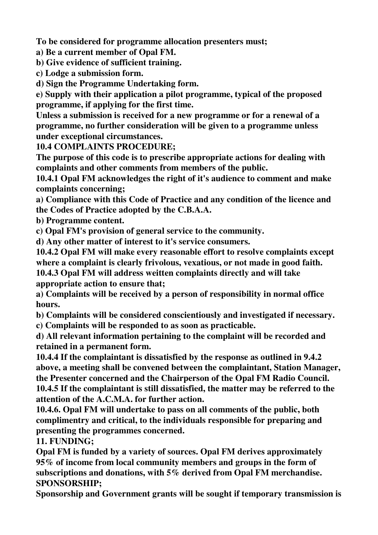**To be considered for programme allocation presenters must;**

**a) Be a current member of Opal FM.**

**b) Give evidence of sufficient training.**

**c) Lodge a submission form.**

**d) Sign the Programme Undertaking form.**

**e) Supply with their application a pilot programme, typical of the proposed programme, if applying for the first time.**

**Unless a submission is received for a new programme or for a renewal of a programme, no further consideration will be given to a programme unless under exceptional circumstances.**

**10.4 COMPLAINTS PROCEDURE;**

**The purpose of this code is to prescribe appropriate actions for dealing with complaints and other comments from members of the public.**

**10.4.1 Opal FM acknowledges the right of it's audience to comment and make complaints concerning;**

**a) Compliance with this Code of Practice and any condition of the licence and the Codes of Practice adopted by the C.B.A.A.**

**b) Programme content.**

**c) Opal FM's provision of general service to the community.**

**d) Any other matter of interest to it's service consumers.**

**10.4.2 Opal FM will make every reasonable effort to resolve complaints except where a complaint is clearly frivolous, vexatious, or not made in good faith.**

**10.4.3 Opal FM will address weitten complaints directly and will take appropriate action to ensure that;**

**a) Complaints will be received by a person of responsibility in normal office hours.**

**b) Complaints will be considered conscientiously and investigated if necessary. c) Complaints will be responded to as soon as practicable.**

**d) All relevant information pertaining to the complaint will be recorded and**

**retained in a permanent form.**

**10.4.4 If the complaintant is dissatisfied by the response as outlined in 9.4.2 above, a meeting shall be convened between the complaintant, Station Manager, the Presenter concerned and the Chairperson of the Opal FM Radio Council. 10.4.5 If the complaintant is still dissatisfied, the matter may be referred to the attention of the A.C.M.A. for further action.**

**10.4.6. Opal FM will undertake to pass on all comments of the public, both complimentry and critical, to the individuals responsible for preparing and presenting the programmes concerned.**

**11. FUNDING;**

**Opal FM is funded by a variety of sources. Opal FM derives approximately 95% of income from local community members and groups in the form of subscriptions and donations, with 5% derived from Opal FM merchandise. SPONSORSHIP;**

**Sponsorship and Government grants will be sought if temporary transmission is**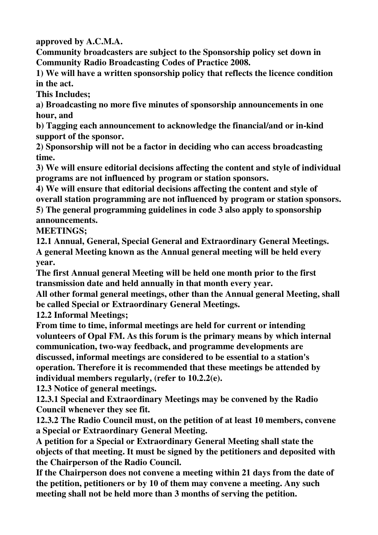**approved by A.C.M.A.**

**Community broadcasters are subject to the Sponsorship policy set down in Community Radio Broadcasting Codes of Practice 2008.**

**1) We will have a written sponsorship policy that reflects the licence condition in the act.**

**This Includes;**

**a) Broadcasting no more five minutes of sponsorship announcements in one hour, and** 

**b) Tagging each announcement to acknowledge the financial/and or in-kind support of the sponsor.**

**2) Sponsorship will not be a factor in deciding who can access broadcasting time.**

**3) We will ensure editorial decisions affecting the content and style of individual programs are not influenced by program or station sponsors.**

**4) We will ensure that editorial decisions affecting the content and style of overall station programming are not influenced by program or station sponsors.**

**5) The general programming guidelines in code 3 also apply to sponsorship announcements.**

**MEETINGS;**

**12.1 Annual, General, Special General and Extraordinary General Meetings. A general Meeting known as the Annual general meeting will be held every year.**

**The first Annual general Meeting will be held one month prior to the first transmission date and held annually in that month every year.**

**All other formal general meetings, other than the Annual general Meeting, shall be called Special or Extraordinary General Meetings.**

**12.2 Informal Meetings;**

**From time to time, informal meetings are held for current or intending volunteers of Opal FM. As this forum is the primary means by which internal communication, two-way feedback, and programme developments are discussed, informal meetings are considered to be essential to a station's operation. Therefore it is recommended that these meetings be attended by individual members regularly, (refer to 10.2.2(e).**

**12.3 Notice of general meetings.**

**12.3.1 Special and Extraordinary Meetings may be convened by the Radio Council whenever they see fit.**

**12.3.2 The Radio Council must, on the petition of at least 10 members, convene a Special or Extraordinary General Meeting.**

**A petition for a Special or Extraordinary General Meeting shall state the objects of that meeting. It must be signed by the petitioners and deposited with the Chairperson of the Radio Council.**

**If the Chairperson does not convene a meeting within 21 days from the date of the petition, petitioners or by 10 of them may convene a meeting. Any such meeting shall not be held more than 3 months of serving the petition.**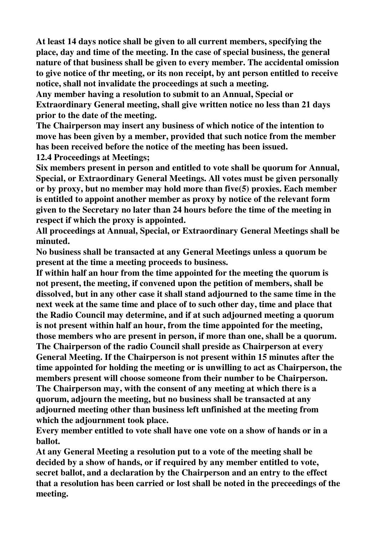**At least 14 days notice shall be given to all current members, specifying the place, day and time of the meeting. In the case of special business, the general nature of that business shall be given to every member. The accidental omission to give notice of thr meeting, or its non receipt, by ant person entitled to receive notice, shall not invalidate the proceedings at such a meeting.**

**Any member having a resolution to submit to an Annual, Special or Extraordinary General meeting, shall give written notice no less than 21 days prior to the date of the meeting.**

**The Chairperson may insert any business of which notice of the intention to move has been given by a member, provided that such notice from the member has been received before the notice of the meeting has been issued. 12.4 Proceedings at Meetings;**

**Six members present in person and entitled to vote shall be quorum for Annual, Special, or Extraordinary General Meetings. All votes must be given personally or by proxy, but no member may hold more than five(5) proxies. Each member is entitled to appoint another member as proxy by notice of the relevant form given to the Secretary no later than 24 hours before the time of the meeting in respect if which the proxy is appointed.**

**All proceedings at Annual, Special, or Extraordinary General Meetings shall be minuted.**

**No business shall be transacted at any General Meetings unless a quorum be present at the time a meeting proceeds to business.**

**If within half an hour from the time appointed for the meeting the quorum is not present, the meeting, if convened upon the petition of members, shall be dissolved, but in any other case it shall stand adjourned to the same time in the next week at the same time and place of to such other day, time and place that the Radio Council may determine, and if at such adjourned meeting a quorum is not present within half an hour, from the time appointed for the meeting, those members who are present in person, if more than one, shall be a quorum. The Chairperson of the radio Council shall preside as Chairperson at every General Meeting. If the Chairperson is not present within 15 minutes after the time appointed for holding the meeting or is unwilling to act as Chairperson, the members present will choose someone from their number to be Chairperson. The Chairperson may, with the consent of any meeting at which there is a quorum, adjourn the meeting, but no business shall be transacted at any adjourned meeting other than business left unfinished at the meeting from which the adjournment took place.**

**Every member entitled to vote shall have one vote on a show of hands or in a ballot.**

**At any General Meeting a resolution put to a vote of the meeting shall be decided by a show of hands, or if required by any member entitled to vote, secret ballot, and a declaration by the Chairperson and an entry to the effect that a resolution has been carried or lost shall be noted in the preceedings of the meeting.**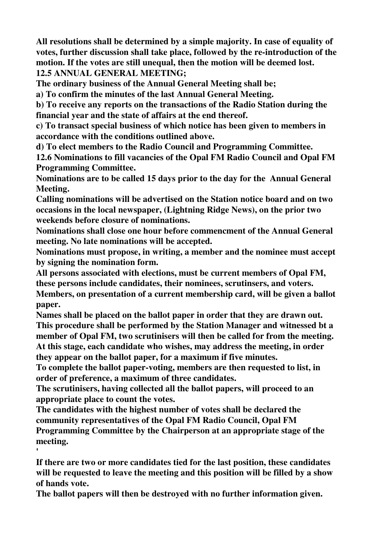**All resolutions shall be determined by a simple majority. In case of equality of votes, further discussion shall take place, followed by the re-introduction of the motion. If the votes are still unequal, then the motion will be deemed lost. 12.5 ANNUAL GENERAL MEETING;**

**The ordinary business of the Annual General Meeting shall be;**

**a) To confirm the minutes of the last Annual General Meeting.**

**b) To receive any reports on the transactions of the Radio Station during the financial year and the state of affairs at the end thereof.**

**c) To transact special business of which notice has been given to members in accordance with the conditions outlined above.**

**d) To elect members to the Radio Council and Programming Committee.**

**12.6 Nominations to fill vacancies of the Opal FM Radio Council and Opal FM Programming Committee.**

**Nominations are to be called 15 days prior to the day for the Annual General Meeting.**

**Calling nominations will be advertised on the Station notice board and on two occasions in the local newspaper, (Lightning Ridge News), on the prior two weekends before closure of nominations.**

**Nominations shall close one hour before commencment of the Annual General meeting. No late nominations will be accepted.**

**Nominations must propose, in writing, a member and the nominee must accept by signing the nomination form.**

**All persons associated with elections, must be current members of Opal FM, these persons include candidates, their nominees, scrutinsers, and voters.**

**Members, on presentation of a current membership card, will be given a ballot paper.**

**Names shall be placed on the ballot paper in order that they are drawn out. This procedure shall be performed by the Station Manager and witnessed bt a member of Opal FM, two scrutinisers will then be called for from the meeting. At this stage, each candidate who wishes, may address the meeting, in order they appear on the ballot paper, for a maximum if five minutes.**

**To complete the ballot paper-voting, members are then requested to list, in order of preference, a maximum of three candidates.**

**The scrutinisers, having collected all the ballot papers, will proceed to an appropriate place to count the votes.**

**The candidates with the highest number of votes shall be declared the community representatives of the Opal FM Radio Council, Opal FM Programming Committee by the Chairperson at an appropriate stage of the meeting.**

**'**

**If there are two or more candidates tied for the last position, these candidates will be requested to leave the meeting and this position will be filled by a show of hands vote.**

**The ballot papers will then be destroyed with no further information given.**